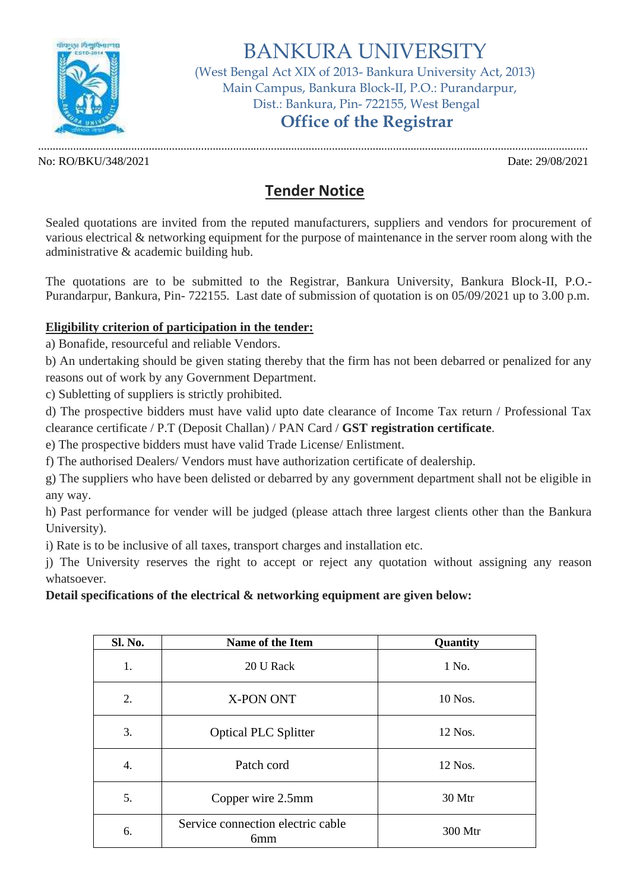

# BANKURA UNIVERSITY

(West Bengal Act XIX of 2013- Bankura University Act, 2013) Main Campus, Bankura Block-II, P.O.: Purandarpur, Dist.: Bankura, Pin- 722155, West Bengal

### **Office of the Registrar**

No: RO/BKU/348/2021 Date: 29/08/2021

.............................................................................................................................................................................................

## **Tender Notice**

Sealed quotations are invited from the reputed manufacturers, suppliers and vendors for procurement of various electrical & networking equipment for the purpose of maintenance in the server room along with the administrative & academic building hub.

The quotations are to be submitted to the Registrar, Bankura University, Bankura Block-II, P.O.- Purandarpur, Bankura, Pin- 722155. Last date of submission of quotation is on 05/09/2021 up to 3.00 p.m.

### **Eligibility criterion of participation in the tender:**

a) Bonafide, resourceful and reliable Vendors.

b) An undertaking should be given stating thereby that the firm has not been debarred or penalized for any reasons out of work by any Government Department.

c) Subletting of suppliers is strictly prohibited.

d) The prospective bidders must have valid upto date clearance of Income Tax return / Professional Tax clearance certificate / P.T (Deposit Challan) / PAN Card / **GST registration certificate**.

e) The prospective bidders must have valid Trade License/ Enlistment.

f) The authorised Dealers/ Vendors must have authorization certificate of dealership.

g) The suppliers who have been delisted or debarred by any government department shall not be eligible in any way.

h) Past performance for vender will be judged (please attach three largest clients other than the Bankura University).

i) Rate is to be inclusive of all taxes, transport charges and installation etc.

j) The University reserves the right to accept or reject any quotation without assigning any reason whatsoever.

### **Detail specifications of the electrical & networking equipment are given below:**

| Sl. No. | Name of the Item                                     | Quantity |
|---------|------------------------------------------------------|----------|
| 1.      | 20 U Rack                                            | 1 No.    |
| 2.      | X-PON ONT                                            | 10 Nos.  |
| 3.      | <b>Optical PLC Splitter</b>                          | 12 Nos.  |
| 4.      | Patch cord                                           | 12 Nos.  |
| 5.      | Copper wire 2.5mm                                    | 30 Mtr   |
| 6.      | Service connection electric cable<br>6 <sub>mm</sub> | 300 Mtr  |